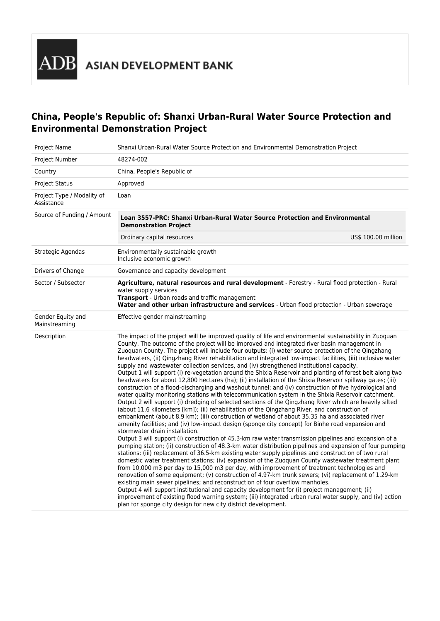**ADB** ASIAN DEVELOPMENT BANK

## **China, People's Republic of: Shanxi Urban-Rural Water Source Protection and Environmental Demonstration Project**

| Project Name                             | Shanxi Urban-Rural Water Source Protection and Environmental Demonstration Project                                                                                                                                                                                                                                                                                                                                                                                                                                                                                                                                                                                                                                                                                                                                                                                                                                                                                                                                                                                                                                                                                                                                                                                                                                                                                                                                                                                                                                                                                                                                                                                                                                                                                                                                                                                                                                                                                                                                                                                                                                                                                                                                                                                                                                                                                                                                                |  |
|------------------------------------------|-----------------------------------------------------------------------------------------------------------------------------------------------------------------------------------------------------------------------------------------------------------------------------------------------------------------------------------------------------------------------------------------------------------------------------------------------------------------------------------------------------------------------------------------------------------------------------------------------------------------------------------------------------------------------------------------------------------------------------------------------------------------------------------------------------------------------------------------------------------------------------------------------------------------------------------------------------------------------------------------------------------------------------------------------------------------------------------------------------------------------------------------------------------------------------------------------------------------------------------------------------------------------------------------------------------------------------------------------------------------------------------------------------------------------------------------------------------------------------------------------------------------------------------------------------------------------------------------------------------------------------------------------------------------------------------------------------------------------------------------------------------------------------------------------------------------------------------------------------------------------------------------------------------------------------------------------------------------------------------------------------------------------------------------------------------------------------------------------------------------------------------------------------------------------------------------------------------------------------------------------------------------------------------------------------------------------------------------------------------------------------------------------------------------------------------|--|
| Project Number                           | 48274-002                                                                                                                                                                                                                                                                                                                                                                                                                                                                                                                                                                                                                                                                                                                                                                                                                                                                                                                                                                                                                                                                                                                                                                                                                                                                                                                                                                                                                                                                                                                                                                                                                                                                                                                                                                                                                                                                                                                                                                                                                                                                                                                                                                                                                                                                                                                                                                                                                         |  |
| Country                                  | China, People's Republic of                                                                                                                                                                                                                                                                                                                                                                                                                                                                                                                                                                                                                                                                                                                                                                                                                                                                                                                                                                                                                                                                                                                                                                                                                                                                                                                                                                                                                                                                                                                                                                                                                                                                                                                                                                                                                                                                                                                                                                                                                                                                                                                                                                                                                                                                                                                                                                                                       |  |
| <b>Project Status</b>                    | Approved                                                                                                                                                                                                                                                                                                                                                                                                                                                                                                                                                                                                                                                                                                                                                                                                                                                                                                                                                                                                                                                                                                                                                                                                                                                                                                                                                                                                                                                                                                                                                                                                                                                                                                                                                                                                                                                                                                                                                                                                                                                                                                                                                                                                                                                                                                                                                                                                                          |  |
| Project Type / Modality of<br>Assistance | Loan                                                                                                                                                                                                                                                                                                                                                                                                                                                                                                                                                                                                                                                                                                                                                                                                                                                                                                                                                                                                                                                                                                                                                                                                                                                                                                                                                                                                                                                                                                                                                                                                                                                                                                                                                                                                                                                                                                                                                                                                                                                                                                                                                                                                                                                                                                                                                                                                                              |  |
| Source of Funding / Amount               | Loan 3557-PRC: Shanxi Urban-Rural Water Source Protection and Environmental<br><b>Demonstration Project</b>                                                                                                                                                                                                                                                                                                                                                                                                                                                                                                                                                                                                                                                                                                                                                                                                                                                                                                                                                                                                                                                                                                                                                                                                                                                                                                                                                                                                                                                                                                                                                                                                                                                                                                                                                                                                                                                                                                                                                                                                                                                                                                                                                                                                                                                                                                                       |  |
|                                          | Ordinary capital resources<br>US\$ 100.00 million                                                                                                                                                                                                                                                                                                                                                                                                                                                                                                                                                                                                                                                                                                                                                                                                                                                                                                                                                                                                                                                                                                                                                                                                                                                                                                                                                                                                                                                                                                                                                                                                                                                                                                                                                                                                                                                                                                                                                                                                                                                                                                                                                                                                                                                                                                                                                                                 |  |
| Strategic Agendas                        | Environmentally sustainable growth<br>Inclusive economic growth                                                                                                                                                                                                                                                                                                                                                                                                                                                                                                                                                                                                                                                                                                                                                                                                                                                                                                                                                                                                                                                                                                                                                                                                                                                                                                                                                                                                                                                                                                                                                                                                                                                                                                                                                                                                                                                                                                                                                                                                                                                                                                                                                                                                                                                                                                                                                                   |  |
| Drivers of Change                        | Governance and capacity development                                                                                                                                                                                                                                                                                                                                                                                                                                                                                                                                                                                                                                                                                                                                                                                                                                                                                                                                                                                                                                                                                                                                                                                                                                                                                                                                                                                                                                                                                                                                                                                                                                                                                                                                                                                                                                                                                                                                                                                                                                                                                                                                                                                                                                                                                                                                                                                               |  |
| Sector / Subsector                       | Agriculture, natural resources and rural development - Forestry - Rural flood protection - Rural<br>water supply services<br>Transport - Urban roads and traffic management<br>Water and other urban infrastructure and services - Urban flood protection - Urban sewerage                                                                                                                                                                                                                                                                                                                                                                                                                                                                                                                                                                                                                                                                                                                                                                                                                                                                                                                                                                                                                                                                                                                                                                                                                                                                                                                                                                                                                                                                                                                                                                                                                                                                                                                                                                                                                                                                                                                                                                                                                                                                                                                                                        |  |
| Gender Equity and<br>Mainstreaming       | Effective gender mainstreaming                                                                                                                                                                                                                                                                                                                                                                                                                                                                                                                                                                                                                                                                                                                                                                                                                                                                                                                                                                                                                                                                                                                                                                                                                                                                                                                                                                                                                                                                                                                                                                                                                                                                                                                                                                                                                                                                                                                                                                                                                                                                                                                                                                                                                                                                                                                                                                                                    |  |
| Description                              | The impact of the project will be improved quality of life and environmental sustainability in Zuoquan<br>County. The outcome of the project will be improved and integrated river basin management in<br>Zuoquan County. The project will include four outputs: (i) water source protection of the Qingzhang<br>headwaters, (ii) Qingzhang River rehabilitation and integrated low-impact facilities, (iii) inclusive water<br>supply and wastewater collection services, and (iv) strengthened institutional capacity.<br>Output 1 will support (i) re-vegetation around the Shixia Reservoir and planting of forest belt along two<br>headwaters for about 12,800 hectares (ha); (ii) installation of the Shixia Reservoir spillway gates; (iii)<br>construction of a flood-discharging and washout tunnel; and (iv) construction of five hydrological and<br>water quality monitoring stations with telecommunication system in the Shixia Reservoir catchment.<br>Output 2 will support (i) dredging of selected sections of the Qingzhang River which are heavily silted<br>(about 11.6 kilometers [km]); (ii) rehabilitation of the Qingzhang River, and construction of<br>embankment (about 8.9 km); (iii) construction of wetland of about 35.35 ha and associated river<br>amenity facilities; and (iv) low-impact design (sponge city concept) for Binhe road expansion and<br>stormwater drain installation.<br>Output 3 will support (i) construction of 45.3-km raw water transmission pipelines and expansion of a<br>pumping station; (ii) construction of 48.3-km water distribution pipelines and expansion of four pumping<br>stations; (iii) replacement of 36.5-km existing water supply pipelines and construction of two rural<br>domestic water treatment stations; (iv) expansion of the Zuoquan County wastewater treatment plant<br>from 10,000 m3 per day to 15,000 m3 per day, with improvement of treatment technologies and<br>renovation of some equipment; (v) construction of 4.97-km trunk sewers; (vi) replacement of 1.29-km<br>existing main sewer pipelines; and reconstruction of four overflow manholes.<br>Output 4 will support institutional and capacity development for (i) project management; (ii)<br>improvement of existing flood warning system; (iii) integrated urban rural water supply, and (iv) action<br>plan for sponge city design for new city district development. |  |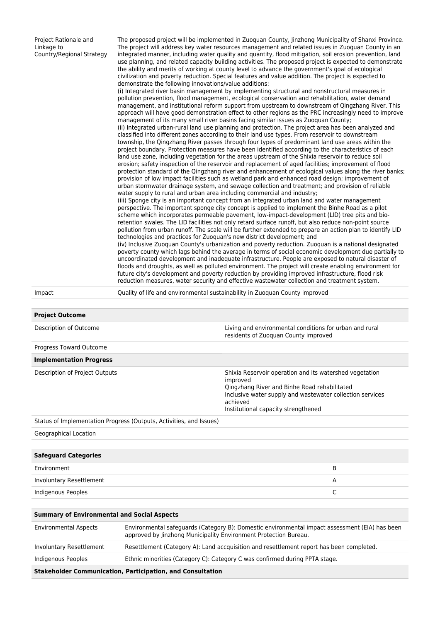| Project Rationale and<br>Linkage to<br>Country/Regional Strategy | demonstrate the following innovations/value additions:<br>water supply to rural and urban area including commercial and industry;<br>technologies and practices for Zuoquan's new district development; and | The proposed project will be implemented in Zuoguan County, Jinzhong Municipality of Shanxi Province.<br>The project will address key water resources management and related issues in Zuoquan County in an<br>integrated manner, including water quality and quantity, flood mitigation, soil erosion prevention, land<br>use planning, and related capacity building activities. The proposed project is expected to demonstrate<br>the ability and merits of working at county level to advance the government's goal of ecological<br>civilization and poverty reduction. Special features and value addition. The project is expected to<br>(i) Integrated river basin management by implementing structural and nonstructural measures in<br>pollution prevention, flood management, ecological conservation and rehabilitation, water demand<br>management, and institutional reform support from upstream to downstream of Qingzhang River. This<br>approach will have good demonstration effect to other regions as the PRC increasingly need to improve<br>management of its many small river basins facing similar issues as Zuoquan County;<br>(ii) Integrated urban-rural land use planning and protection. The project area has been analyzed and<br>classified into different zones according to their land use types. From reservoir to downstream<br>township, the Qingzhang River passes through four types of predominant land use areas within the<br>project boundary. Protection measures have been identified according to the characteristics of each<br>land use zone, including vegetation for the areas upstream of the Shixia reservoir to reduce soil<br>erosion; safety inspection of the reservoir and replacement of aged facilities; improvement of flood<br>protection standard of the Qingzhang river and enhancement of ecological values along the river banks;<br>provision of low impact facilities such as wetland park and enhanced road design; improvement of<br>urban stormwater drainage system, and sewage collection and treatment; and provision of reliable<br>(iii) Sponge city is an important concept from an integrated urban land and water management<br>perspective. The important sponge city concept is applied to implement the Binhe Road as a pilot<br>scheme which incorporates permeable pavement, low-impact-development (LID) tree pits and bio-<br>retention swales. The LID facilities not only retard surface runoff, but also reduce non-point source<br>pollution from urban runoff. The scale will be further extended to prepare an action plan to identify LID<br>(iv) Inclusive Zuoguan County's urbanization and poverty reduction. Zuoguan is a national designated<br>poverty county which lags behind the average in terms of social economic development due partially to<br>uncoordinated development and inadequate infrastructure. People are exposed to natural disaster of<br>floods and droughts, as well as polluted environment. The project will create enabling environment for<br>future city's development and poverty reduction by providing improved infrastructure, flood risk<br>reduction measures, water security and effective wastewater collection and treatment system. |
|------------------------------------------------------------------|-------------------------------------------------------------------------------------------------------------------------------------------------------------------------------------------------------------|------------------------------------------------------------------------------------------------------------------------------------------------------------------------------------------------------------------------------------------------------------------------------------------------------------------------------------------------------------------------------------------------------------------------------------------------------------------------------------------------------------------------------------------------------------------------------------------------------------------------------------------------------------------------------------------------------------------------------------------------------------------------------------------------------------------------------------------------------------------------------------------------------------------------------------------------------------------------------------------------------------------------------------------------------------------------------------------------------------------------------------------------------------------------------------------------------------------------------------------------------------------------------------------------------------------------------------------------------------------------------------------------------------------------------------------------------------------------------------------------------------------------------------------------------------------------------------------------------------------------------------------------------------------------------------------------------------------------------------------------------------------------------------------------------------------------------------------------------------------------------------------------------------------------------------------------------------------------------------------------------------------------------------------------------------------------------------------------------------------------------------------------------------------------------------------------------------------------------------------------------------------------------------------------------------------------------------------------------------------------------------------------------------------------------------------------------------------------------------------------------------------------------------------------------------------------------------------------------------------------------------------------------------------------------------------------------------------------------------------------------------------------------------------------------------------------------------------------------------------------------------------------------------------------------------------------------------------------------------------------------------------------------------------------------------------------------------------------------------------------------------------------------------------------------------------------------------------------------------------------------------------------------|
| Impact                                                           |                                                                                                                                                                                                             | Quality of life and environmental sustainability in Zuoguan County improved                                                                                                                                                                                                                                                                                                                                                                                                                                                                                                                                                                                                                                                                                                                                                                                                                                                                                                                                                                                                                                                                                                                                                                                                                                                                                                                                                                                                                                                                                                                                                                                                                                                                                                                                                                                                                                                                                                                                                                                                                                                                                                                                                                                                                                                                                                                                                                                                                                                                                                                                                                                                                                                                                                                                                                                                                                                                                                                                                                                                                                                                                                                                                                                                  |
| <b>Project Outcome</b>                                           |                                                                                                                                                                                                             |                                                                                                                                                                                                                                                                                                                                                                                                                                                                                                                                                                                                                                                                                                                                                                                                                                                                                                                                                                                                                                                                                                                                                                                                                                                                                                                                                                                                                                                                                                                                                                                                                                                                                                                                                                                                                                                                                                                                                                                                                                                                                                                                                                                                                                                                                                                                                                                                                                                                                                                                                                                                                                                                                                                                                                                                                                                                                                                                                                                                                                                                                                                                                                                                                                                                              |
| Description of Outcome                                           |                                                                                                                                                                                                             | Living and environmental conditions for urban and rural                                                                                                                                                                                                                                                                                                                                                                                                                                                                                                                                                                                                                                                                                                                                                                                                                                                                                                                                                                                                                                                                                                                                                                                                                                                                                                                                                                                                                                                                                                                                                                                                                                                                                                                                                                                                                                                                                                                                                                                                                                                                                                                                                                                                                                                                                                                                                                                                                                                                                                                                                                                                                                                                                                                                                                                                                                                                                                                                                                                                                                                                                                                                                                                                                      |
| Progress Toward Outcome                                          |                                                                                                                                                                                                             | residents of Zuoquan County improved                                                                                                                                                                                                                                                                                                                                                                                                                                                                                                                                                                                                                                                                                                                                                                                                                                                                                                                                                                                                                                                                                                                                                                                                                                                                                                                                                                                                                                                                                                                                                                                                                                                                                                                                                                                                                                                                                                                                                                                                                                                                                                                                                                                                                                                                                                                                                                                                                                                                                                                                                                                                                                                                                                                                                                                                                                                                                                                                                                                                                                                                                                                                                                                                                                         |
| <b>Implementation Progress</b>                                   |                                                                                                                                                                                                             |                                                                                                                                                                                                                                                                                                                                                                                                                                                                                                                                                                                                                                                                                                                                                                                                                                                                                                                                                                                                                                                                                                                                                                                                                                                                                                                                                                                                                                                                                                                                                                                                                                                                                                                                                                                                                                                                                                                                                                                                                                                                                                                                                                                                                                                                                                                                                                                                                                                                                                                                                                                                                                                                                                                                                                                                                                                                                                                                                                                                                                                                                                                                                                                                                                                                              |
| Description of Project Outputs                                   |                                                                                                                                                                                                             | Shixia Reservoir operation and its watershed vegetation<br>improved                                                                                                                                                                                                                                                                                                                                                                                                                                                                                                                                                                                                                                                                                                                                                                                                                                                                                                                                                                                                                                                                                                                                                                                                                                                                                                                                                                                                                                                                                                                                                                                                                                                                                                                                                                                                                                                                                                                                                                                                                                                                                                                                                                                                                                                                                                                                                                                                                                                                                                                                                                                                                                                                                                                                                                                                                                                                                                                                                                                                                                                                                                                                                                                                          |
|                                                                  |                                                                                                                                                                                                             | Qingzhang River and Binhe Road rehabilitated                                                                                                                                                                                                                                                                                                                                                                                                                                                                                                                                                                                                                                                                                                                                                                                                                                                                                                                                                                                                                                                                                                                                                                                                                                                                                                                                                                                                                                                                                                                                                                                                                                                                                                                                                                                                                                                                                                                                                                                                                                                                                                                                                                                                                                                                                                                                                                                                                                                                                                                                                                                                                                                                                                                                                                                                                                                                                                                                                                                                                                                                                                                                                                                                                                 |

Status of Implementation Progress (Outputs, Activities, and Issues)

Geographical Location

| <b>Safeguard Categories</b> |   |
|-----------------------------|---|
| Environment                 | В |
| Involuntary Resettlement    | A |
| Indigenous Peoples          |   |
|                             |   |

achieved

Inclusive water supply and wastewater collection services

Institutional capacity strengthened

| <b>Summary of Environmental and Social Aspects</b>                |                                                                                                                                                                    |  |
|-------------------------------------------------------------------|--------------------------------------------------------------------------------------------------------------------------------------------------------------------|--|
| <b>Environmental Aspects</b>                                      | Environmental safeguards (Category B): Domestic environmental impact assessment (EIA) has been<br>approved by Jinzhong Municipality Environment Protection Bureau. |  |
| Involuntary Resettlement                                          | Resettlement (Category A): Land accquisition and resettlement report has been completed.                                                                           |  |
| Indigenous Peoples                                                | Ethnic minorities (Category C): Category C was confirmed during PPTA stage.                                                                                        |  |
| <b>Stakeholder Communication, Participation, and Consultation</b> |                                                                                                                                                                    |  |